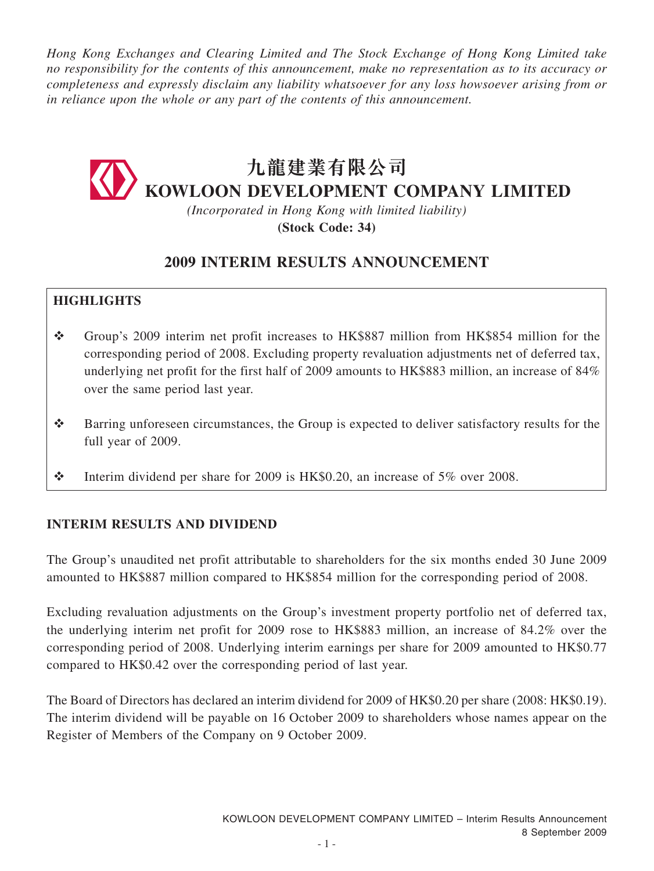*Hong Kong Exchanges and Clearing Limited and The Stock Exchange of Hong Kong Limited take no responsibility for the contents of this announcement, make no representation as to its accuracy or completeness and expressly disclaim any liability whatsoever for any loss howsoever arising from or in reliance upon the whole or any part of the contents of this announcement.*

# **九龍建業有限公司 KOWLOON DEVELOPMENT COMPANY LIMITED**

*(Incorporated in Hong Kong with limited liability)* **(Stock Code: 34)**

### **2009 INTERIM RESULTS ANNOUNCEMENT**

### **HIGHLIGHTS**

- Group's 2009 interim net profit increases to HK\$887 million from HK\$854 million for the corresponding period of 2008. Excluding property revaluation adjustments net of deferred tax, underlying net profit for the first half of 2009 amounts to HK\$883 million, an increase of 84% over the same period last year.
- Barring unforeseen circumstances, the Group is expected to deliver satisfactory results for the full year of 2009.
- Interim dividend per share for 2009 is HK\$0.20, an increase of 5% over 2008.

### **interim RESULTS AND DIVIDEND**

The Group's unaudited net profit attributable to shareholders for the six months ended 30 June 2009 amounted to HK\$887 million compared to HK\$854 million for the corresponding period of 2008.

Excluding revaluation adjustments on the Group's investment property portfolio net of deferred tax, the underlying interim net profit for 2009 rose to HK\$883 million, an increase of 84.2% over the corresponding period of 2008. Underlying interim earnings per share for 2009 amounted to HK\$0.77 compared to HK\$0.42 over the corresponding period of last year.

The Board of Directors has declared an interim dividend for 2009 of HK\$0.20 per share (2008: HK\$0.19). The interim dividend will be payable on 16 October 2009 to shareholders whose names appear on the Register of Members of the Company on 9 October 2009.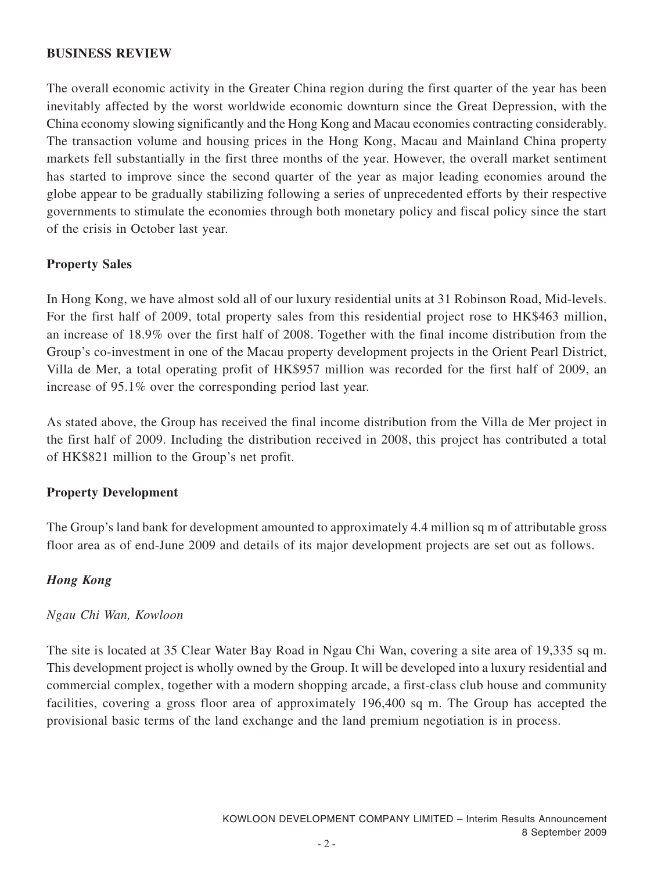#### **BUSINESS REVIEW**

The overall economic activity in the Greater China region during the first quarter of the year has been inevitably affected by the worst worldwide economic downturn since the Great Depression, with the China economy slowing significantly and the Hong Kong and Macau economies contracting considerably. The transaction volume and housing prices in the Hong Kong, Macau and Mainland China property markets fell substantially in the first three months of the year. However, the overall market sentiment has started to improve since the second quarter of the year as major leading economies around the globe appear to be gradually stabilizing following a series of unprecedented efforts by their respective governments to stimulate the economies through both monetary policy and fiscal policy since the start of the crisis in October last year.

#### **Property Sales**

In Hong Kong, we have almost sold all of our luxury residential units at 31 Robinson Road, Mid-levels. For the first half of 2009, total property sales from this residential project rose to HK\$463 million, an increase of 18.9% over the first half of 2008. Together with the final income distribution from the Group's co-investment in one of the Macau property development projects in the Orient Pearl District, Villa de Mer, a total operating profit of HK\$957 million was recorded for the first half of 2009, an increase of 95.1% over the corresponding period last year.

As stated above, the Group has received the final income distribution from the Villa de Mer project in the first half of 2009. Including the distribution received in 2008, this project has contributed a total of HK\$821 million to the Group's net profit.

#### **Property Development**

The Group's land bank for development amounted to approximately 4.4 million sq m of attributable gross floor area as of end-June 2009 and details of its major development projects are set out as follows.

### *Hong Kong*

#### *Ngau Chi Wan, Kowloon*

The site is located at 35 Clear Water Bay Road in Ngau Chi Wan, covering a site area of 19,335 sq m. This development project is wholly owned by the Group. It will be developed into a luxury residential and commercial complex, together with a modern shopping arcade, a first-class club house and community facilities, covering a gross floor area of approximately 196,400 sq m. The Group has accepted the provisional basic terms of the land exchange and the land premium negotiation is in process.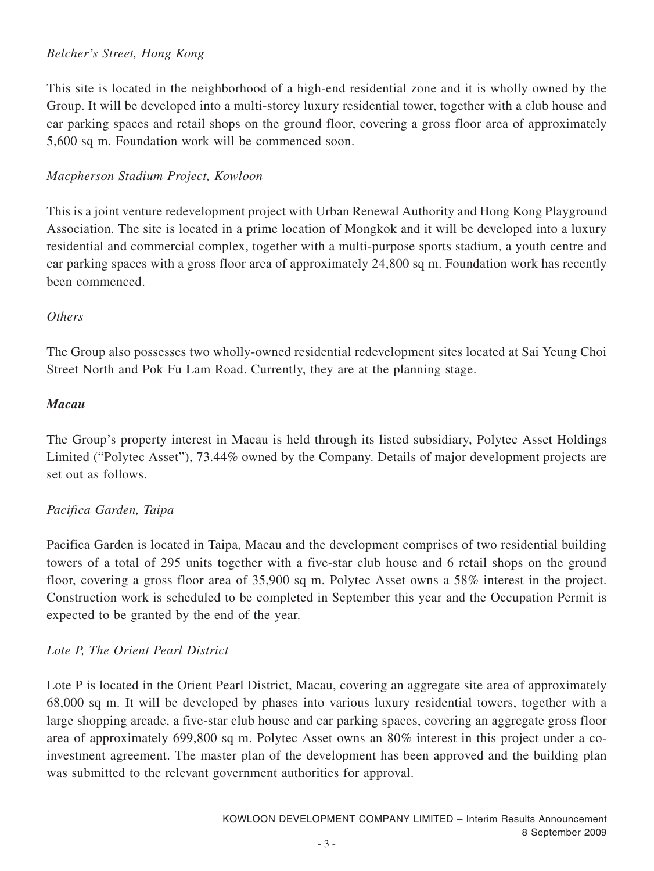### *Belcher's Street, Hong Kong*

This site is located in the neighborhood of a high-end residential zone and it is wholly owned by the Group. It will be developed into a multi-storey luxury residential tower, together with a club house and car parking spaces and retail shops on the ground floor, covering a gross floor area of approximately 5,600 sq m. Foundation work will be commenced soon.

### *Macpherson Stadium Project, Kowloon*

This is a joint venture redevelopment project with Urban Renewal Authority and Hong Kong Playground Association. The site is located in a prime location of Mongkok and it will be developed into a luxury residential and commercial complex, together with a multi-purpose sports stadium, a youth centre and car parking spaces with a gross floor area of approximately 24,800 sq m. Foundation work has recently been commenced.

### *Others*

The Group also possesses two wholly-owned residential redevelopment sites located at Sai Yeung Choi Street North and Pok Fu Lam Road. Currently, they are at the planning stage.

### *Macau*

The Group's property interest in Macau is held through its listed subsidiary, Polytec Asset Holdings Limited ("Polytec Asset"), 73.44% owned by the Company. Details of major development projects are set out as follows.

### *Pacifica Garden, Taipa*

Pacifica Garden is located in Taipa, Macau and the development comprises of two residential building towers of a total of 295 units together with a five-star club house and 6 retail shops on the ground floor, covering a gross floor area of 35,900 sq m. Polytec Asset owns a 58% interest in the project. Construction work is scheduled to be completed in September this year and the Occupation Permit is expected to be granted by the end of the year.

### *Lote P, The Orient Pearl District*

Lote P is located in the Orient Pearl District, Macau, covering an aggregate site area of approximately 68,000 sq m. It will be developed by phases into various luxury residential towers, together with a large shopping arcade, a five-star club house and car parking spaces, covering an aggregate gross floor area of approximately 699,800 sq m. Polytec Asset owns an 80% interest in this project under a coinvestment agreement. The master plan of the development has been approved and the building plan was submitted to the relevant government authorities for approval.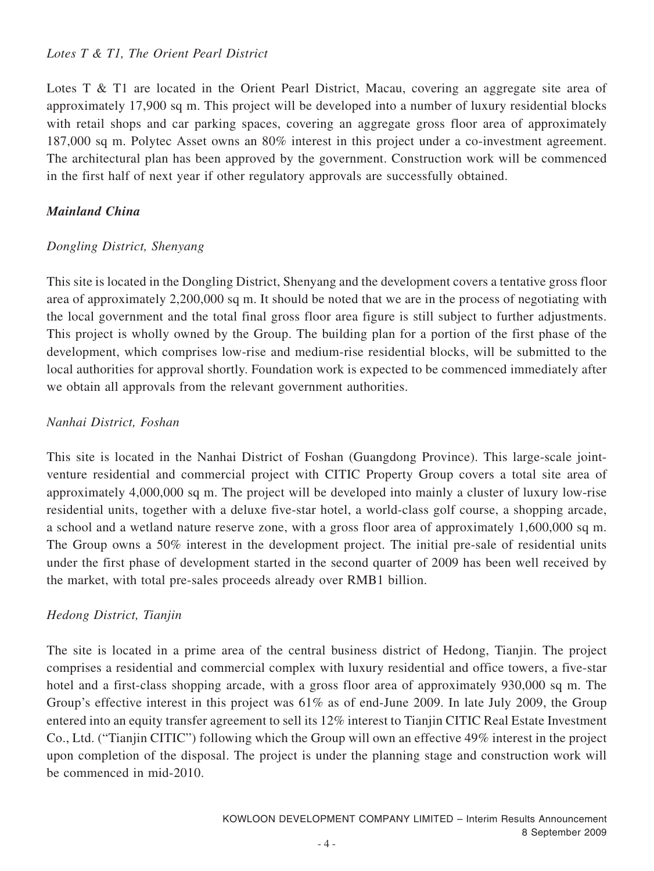### *Lotes T & T1, The Orient Pearl District*

Lotes T & T1 are located in the Orient Pearl District, Macau, covering an aggregate site area of approximately 17,900 sq m. This project will be developed into a number of luxury residential blocks with retail shops and car parking spaces, covering an aggregate gross floor area of approximately 187,000 sq m. Polytec Asset owns an 80% interest in this project under a co-investment agreement. The architectural plan has been approved by the government. Construction work will be commenced in the first half of next year if other regulatory approvals are successfully obtained.

### *Mainland China*

### *Dongling District, Shenyang*

This site is located in the Dongling District, Shenyang and the development covers a tentative gross floor area of approximately 2,200,000 sq m. It should be noted that we are in the process of negotiating with the local government and the total final gross floor area figure is still subject to further adjustments. This project is wholly owned by the Group. The building plan for a portion of the first phase of the development, which comprises low-rise and medium-rise residential blocks, will be submitted to the local authorities for approval shortly. Foundation work is expected to be commenced immediately after we obtain all approvals from the relevant government authorities.

### *Nanhai District, Foshan*

This site is located in the Nanhai District of Foshan (Guangdong Province). This large-scale jointventure residential and commercial project with CITIC Property Group covers a total site area of approximately 4,000,000 sq m. The project will be developed into mainly a cluster of luxury low-rise residential units, together with a deluxe five-star hotel, a world-class golf course, a shopping arcade, a school and a wetland nature reserve zone, with a gross floor area of approximately 1,600,000 sq m. The Group owns a 50% interest in the development project. The initial pre-sale of residential units under the first phase of development started in the second quarter of 2009 has been well received by the market, with total pre-sales proceeds already over RMB1 billion.

#### *Hedong District, Tianjin*

The site is located in a prime area of the central business district of Hedong, Tianjin. The project comprises a residential and commercial complex with luxury residential and office towers, a five-star hotel and a first-class shopping arcade, with a gross floor area of approximately 930,000 sq m. The Group's effective interest in this project was 61% as of end-June 2009. In late July 2009, the Group entered into an equity transfer agreement to sell its 12% interest to Tianjin CITIC Real Estate Investment Co., Ltd. ("Tianjin CITIC") following which the Group will own an effective 49% interest in the project upon completion of the disposal. The project is under the planning stage and construction work will be commenced in mid-2010.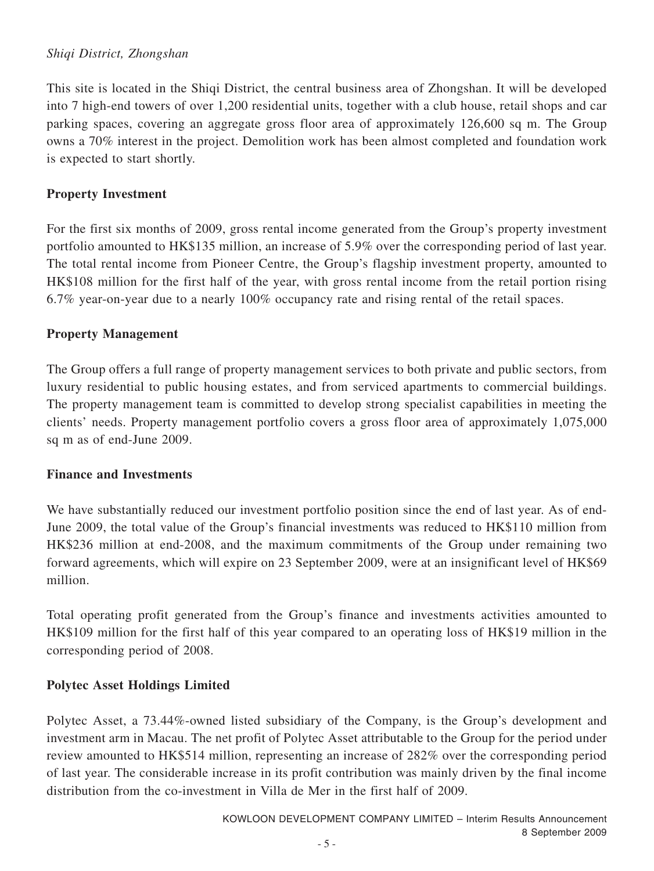### *Shiqi District, Zhongshan*

This site is located in the Shiqi District, the central business area of Zhongshan. It will be developed into 7 high-end towers of over 1,200 residential units, together with a club house, retail shops and car parking spaces, covering an aggregate gross floor area of approximately 126,600 sq m. The Group owns a 70% interest in the project. Demolition work has been almost completed and foundation work is expected to start shortly.

### **Property Investment**

For the first six months of 2009, gross rental income generated from the Group's property investment portfolio amounted to HK\$135 million, an increase of 5.9% over the corresponding period of last year. The total rental income from Pioneer Centre, the Group's flagship investment property, amounted to HK\$108 million for the first half of the year, with gross rental income from the retail portion rising 6.7% year-on-year due to a nearly 100% occupancy rate and rising rental of the retail spaces.

### **Property Management**

The Group offers a full range of property management services to both private and public sectors, from luxury residential to public housing estates, and from serviced apartments to commercial buildings. The property management team is committed to develop strong specialist capabilities in meeting the clients' needs. Property management portfolio covers a gross floor area of approximately 1,075,000 sq m as of end-June 2009.

### **Finance and Investments**

We have substantially reduced our investment portfolio position since the end of last year. As of end-June 2009, the total value of the Group's financial investments was reduced to HK\$110 million from HK\$236 million at end-2008, and the maximum commitments of the Group under remaining two forward agreements, which will expire on 23 September 2009, were at an insignificant level of HK\$69 million.

Total operating profit generated from the Group's finance and investments activities amounted to HK\$109 million for the first half of this year compared to an operating loss of HK\$19 million in the corresponding period of 2008.

### **Polytec Asset Holdings Limited**

Polytec Asset, a 73.44%-owned listed subsidiary of the Company, is the Group's development and investment arm in Macau. The net profit of Polytec Asset attributable to the Group for the period under review amounted to HK\$514 million, representing an increase of 282% over the corresponding period of last year. The considerable increase in its profit contribution was mainly driven by the final income distribution from the co-investment in Villa de Mer in the first half of 2009.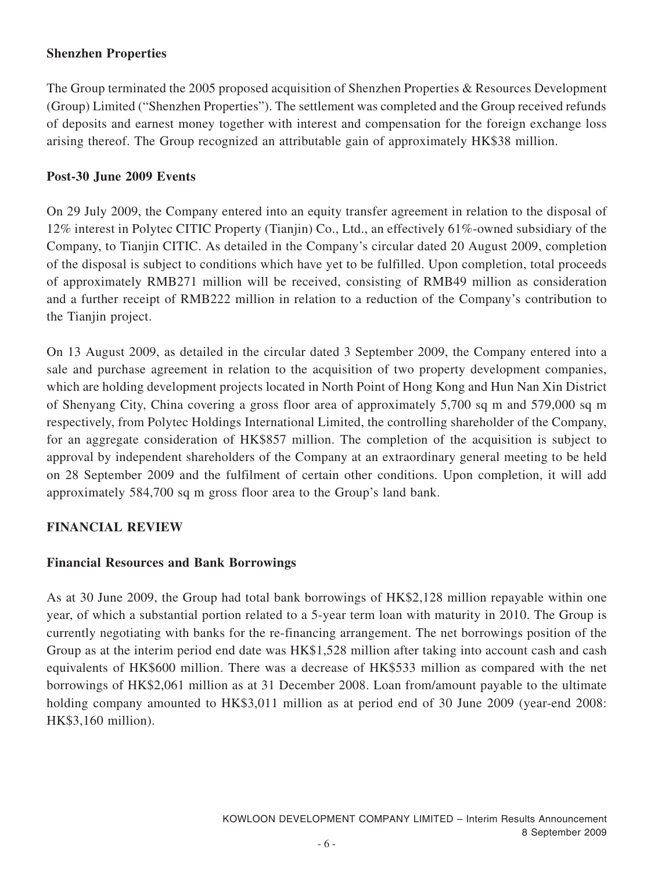### **Shenzhen Properties**

The Group terminated the 2005 proposed acquisition of Shenzhen Properties & Resources Development (Group) Limited ("Shenzhen Properties"). The settlement was completed and the Group received refunds of deposits and earnest money together with interest and compensation for the foreign exchange loss arising thereof. The Group recognized an attributable gain of approximately HK\$38 million.

### **Post-30 June 2009 Events**

On 29 July 2009, the Company entered into an equity transfer agreement in relation to the disposal of 12% interest in Polytec CITIC Property (Tianjin) Co., Ltd., an effectively 61%-owned subsidiary of the Company, to Tianjin CITIC. As detailed in the Company's circular dated 20 August 2009, completion of the disposal is subject to conditions which have yet to be fulfilled. Upon completion, total proceeds of approximately RMB271 million will be received, consisting of RMB49 million as consideration and a further receipt of RMB222 million in relation to a reduction of the Company's contribution to the Tianjin project.

On 13 August 2009, as detailed in the circular dated 3 September 2009, the Company entered into a sale and purchase agreement in relation to the acquisition of two property development companies, which are holding development projects located in North Point of Hong Kong and Hun Nan Xin District of Shenyang City, China covering a gross floor area of approximately 5,700 sq m and 579,000 sq m respectively, from Polytec Holdings International Limited, the controlling shareholder of the Company, for an aggregate consideration of HK\$857 million. The completion of the acquisition is subject to approval by independent shareholders of the Company at an extraordinary general meeting to be held on 28 September 2009 and the fulfilment of certain other conditions. Upon completion, it will add approximately 584,700 sq m gross floor area to the Group's land bank.

### **FINANCIAL REVIEW**

### **Financial Resources and Bank Borrowings**

As at 30 June 2009, the Group had total bank borrowings of HK\$2,128 million repayable within one year, of which a substantial portion related to a 5-year term loan with maturity in 2010. The Group is currently negotiating with banks for the re-financing arrangement. The net borrowings position of the Group as at the interim period end date was HK\$1,528 million after taking into account cash and cash equivalents of HK\$600 million. There was a decrease of HK\$533 million as compared with the net borrowings of HK\$2,061 million as at 31 December 2008. Loan from/amount payable to the ultimate holding company amounted to HK\$3,011 million as at period end of 30 June 2009 (year-end 2008: HK\$3,160 million).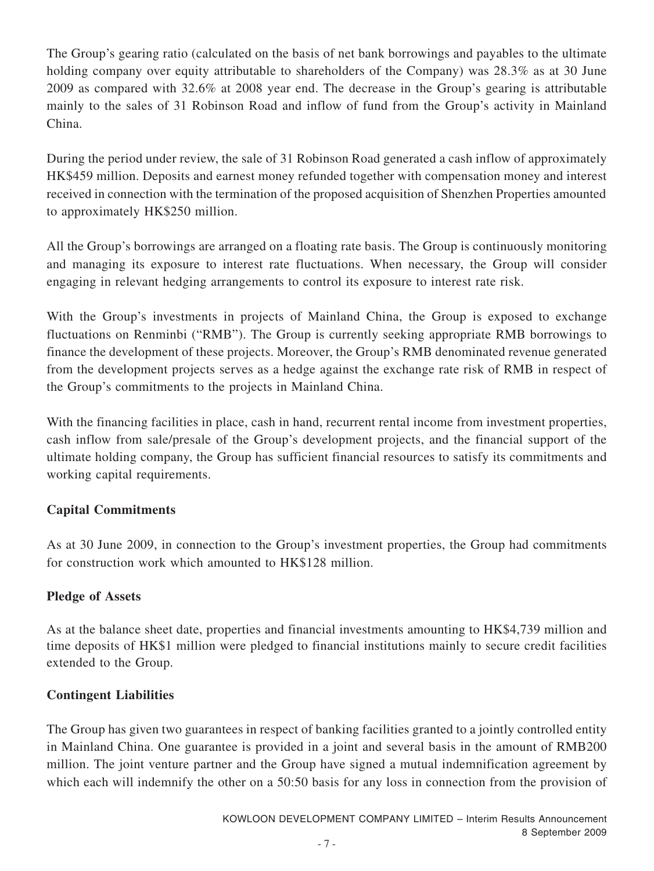The Group's gearing ratio (calculated on the basis of net bank borrowings and payables to the ultimate holding company over equity attributable to shareholders of the Company) was 28.3% as at 30 June 2009 as compared with 32.6% at 2008 year end. The decrease in the Group's gearing is attributable mainly to the sales of 31 Robinson Road and inflow of fund from the Group's activity in Mainland China.

During the period under review, the sale of 31 Robinson Road generated a cash inflow of approximately HK\$459 million. Deposits and earnest money refunded together with compensation money and interest received in connection with the termination of the proposed acquisition of Shenzhen Properties amounted to approximately HK\$250 million.

All the Group's borrowings are arranged on a floating rate basis. The Group is continuously monitoring and managing its exposure to interest rate fluctuations. When necessary, the Group will consider engaging in relevant hedging arrangements to control its exposure to interest rate risk.

With the Group's investments in projects of Mainland China, the Group is exposed to exchange fluctuations on Renminbi ("RMB"). The Group is currently seeking appropriate RMB borrowings to finance the development of these projects. Moreover, the Group's RMB denominated revenue generated from the development projects serves as a hedge against the exchange rate risk of RMB in respect of the Group's commitments to the projects in Mainland China.

With the financing facilities in place, cash in hand, recurrent rental income from investment properties, cash inflow from sale/presale of the Group's development projects, and the financial support of the ultimate holding company, the Group has sufficient financial resources to satisfy its commitments and working capital requirements.

### **Capital Commitments**

As at 30 June 2009, in connection to the Group's investment properties, the Group had commitments for construction work which amounted to HK\$128 million.

### **Pledge of Assets**

As at the balance sheet date, properties and financial investments amounting to HK\$4,739 million and time deposits of HK\$1 million were pledged to financial institutions mainly to secure credit facilities extended to the Group.

### **Contingent Liabilities**

The Group has given two guarantees in respect of banking facilities granted to a jointly controlled entity in Mainland China. One guarantee is provided in a joint and several basis in the amount of RMB200 million. The joint venture partner and the Group have signed a mutual indemnification agreement by which each will indemnify the other on a 50:50 basis for any loss in connection from the provision of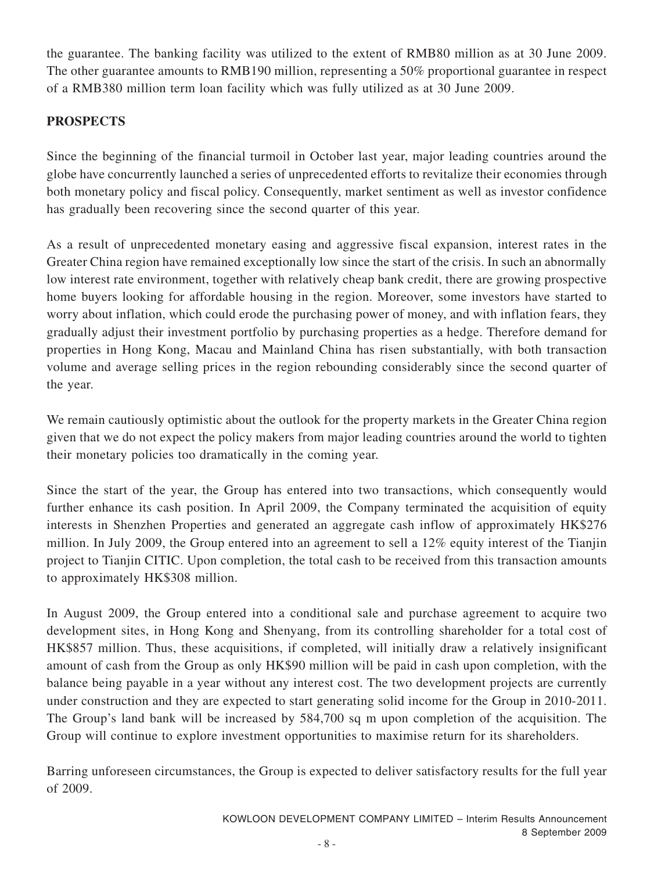the guarantee. The banking facility was utilized to the extent of RMB80 million as at 30 June 2009. The other guarantee amounts to RMB190 million, representing a 50% proportional guarantee in respect of a RMB380 million term loan facility which was fully utilized as at 30 June 2009.

### **PROSPECTS**

Since the beginning of the financial turmoil in October last year, major leading countries around the globe have concurrently launched a series of unprecedented efforts to revitalize their economies through both monetary policy and fiscal policy. Consequently, market sentiment as well as investor confidence has gradually been recovering since the second quarter of this year.

As a result of unprecedented monetary easing and aggressive fiscal expansion, interest rates in the Greater China region have remained exceptionally low since the start of the crisis. In such an abnormally low interest rate environment, together with relatively cheap bank credit, there are growing prospective home buyers looking for affordable housing in the region. Moreover, some investors have started to worry about inflation, which could erode the purchasing power of money, and with inflation fears, they gradually adjust their investment portfolio by purchasing properties as a hedge. Therefore demand for properties in Hong Kong, Macau and Mainland China has risen substantially, with both transaction volume and average selling prices in the region rebounding considerably since the second quarter of the year.

We remain cautiously optimistic about the outlook for the property markets in the Greater China region given that we do not expect the policy makers from major leading countries around the world to tighten their monetary policies too dramatically in the coming year.

Since the start of the year, the Group has entered into two transactions, which consequently would further enhance its cash position. In April 2009, the Company terminated the acquisition of equity interests in Shenzhen Properties and generated an aggregate cash inflow of approximately HK\$276 million. In July 2009, the Group entered into an agreement to sell a 12% equity interest of the Tianjin project to Tianjin CITIC. Upon completion, the total cash to be received from this transaction amounts to approximately HK\$308 million.

In August 2009, the Group entered into a conditional sale and purchase agreement to acquire two development sites, in Hong Kong and Shenyang, from its controlling shareholder for a total cost of HK\$857 million. Thus, these acquisitions, if completed, will initially draw a relatively insignificant amount of cash from the Group as only HK\$90 million will be paid in cash upon completion, with the balance being payable in a year without any interest cost. The two development projects are currently under construction and they are expected to start generating solid income for the Group in 2010-2011. The Group's land bank will be increased by 584,700 sq m upon completion of the acquisition. The Group will continue to explore investment opportunities to maximise return for its shareholders.

Barring unforeseen circumstances, the Group is expected to deliver satisfactory results for the full year of 2009.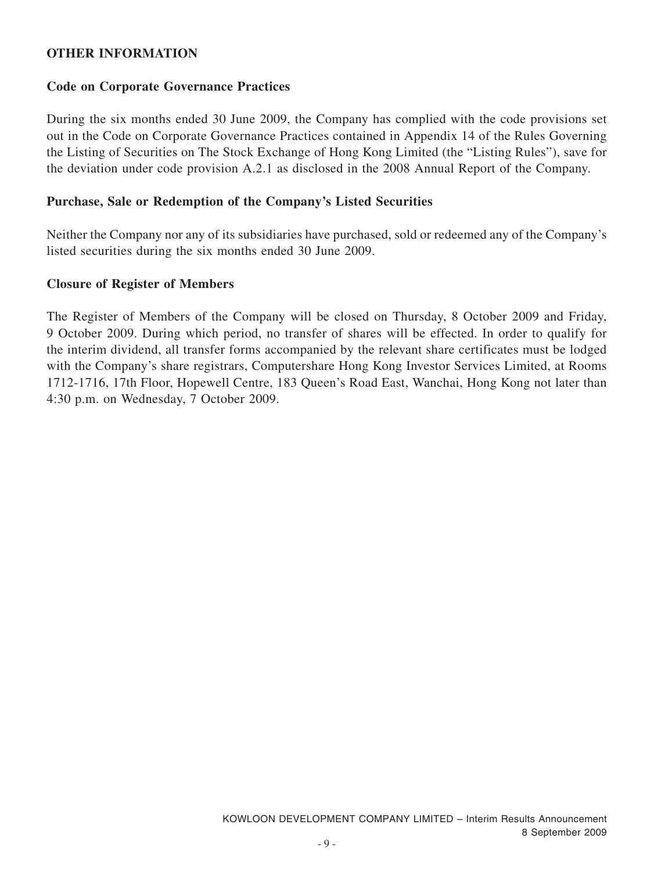#### **OTHER INFORMATION**

#### **Code on Corporate Governance Practices**

During the six months ended 30 June 2009, the Company has complied with the code provisions set out in the Code on Corporate Governance Practices contained in Appendix 14 of the Rules Governing the Listing of Securities on The Stock Exchange of Hong Kong Limited (the "Listing Rules"), save for the deviation under code provision A.2.1 as disclosed in the 2008 Annual Report of the Company.

#### **Purchase, Sale or Redemption of the Company's Listed Securities**

Neither the Company nor any of its subsidiaries have purchased, sold or redeemed any of the Company's listed securities during the six months ended 30 June 2009.

#### **Closure of Register of Members**

The Register of Members of the Company will be closed on Thursday, 8 October 2009 and Friday, 9 October 2009. During which period, no transfer of shares will be effected. In order to qualify for the interim dividend, all transfer forms accompanied by the relevant share certificates must be lodged with the Company's share registrars, Computershare Hong Kong Investor Services Limited, at Rooms 1712-1716, 17th Floor, Hopewell Centre, 183 Queen's Road East, Wanchai, Hong Kong not later than 4:30 p.m. on Wednesday, 7 October 2009.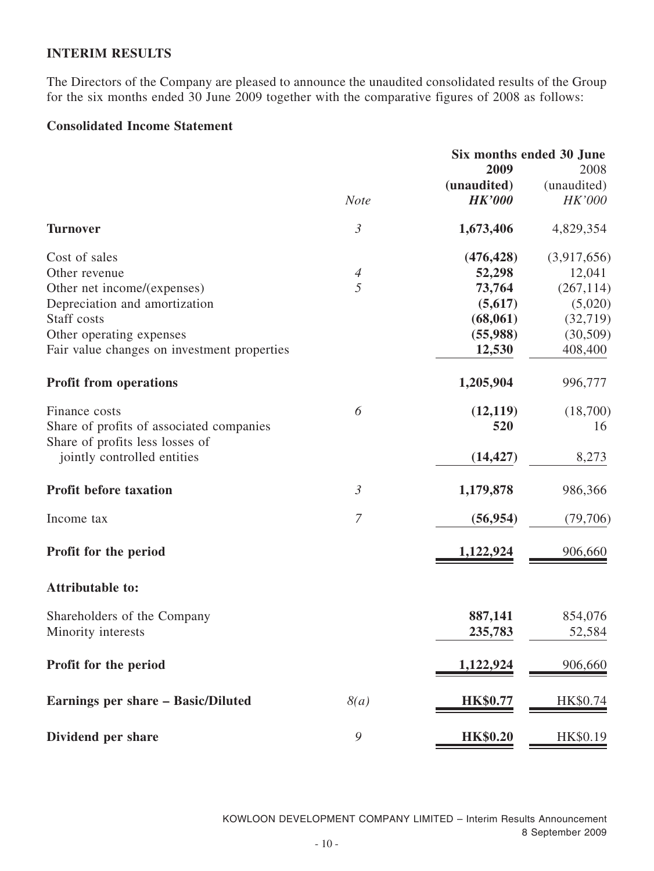### **INTERIM RESULTS**

The Directors of the Company are pleased to announce the unaudited consolidated results of the Group for the six months ended 30 June 2009 together with the comparative figures of 2008 as follows:

### **Consolidated Income Statement**

|                | Six months ended 30 June |                                                     |  |
|----------------|--------------------------|-----------------------------------------------------|--|
|                | 2009                     | 2008                                                |  |
|                | (unaudited)              | (unaudited)                                         |  |
| <b>Note</b>    |                          | HK'000                                              |  |
| $\mathfrak{Z}$ | 1,673,406                | 4,829,354                                           |  |
|                | (476, 428)               | (3,917,656)                                         |  |
| $\overline{4}$ | 52,298                   | 12,041                                              |  |
| 5              | 73,764                   | (267, 114)                                          |  |
|                | (5,617)                  | (5,020)                                             |  |
|                |                          | (32, 719)                                           |  |
|                |                          | (30, 509)                                           |  |
|                | 12,530                   | 408,400                                             |  |
|                | 1,205,904                | 996,777                                             |  |
|                |                          | (18,700)                                            |  |
|                | 520                      | 16                                                  |  |
|                | (14, 427)                | 8,273                                               |  |
| $\mathfrak{Z}$ | 1,179,878                | 986,366                                             |  |
| $\overline{7}$ | (56, 954)                | (79,706)                                            |  |
|                | 1,122,924                | 906,660                                             |  |
|                |                          |                                                     |  |
|                | 887,141                  | 854,076                                             |  |
|                | 235,783                  | 52,584                                              |  |
|                | 1,122,924                | 906,660                                             |  |
| 8(a)           | <b>HK\$0.77</b>          | HK\$0.74                                            |  |
| $\mathcal{G}$  | <b>HK\$0.20</b>          | HK\$0.19                                            |  |
|                | 6                        | <b>HK'000</b><br>(68, 061)<br>(55,988)<br>(12, 119) |  |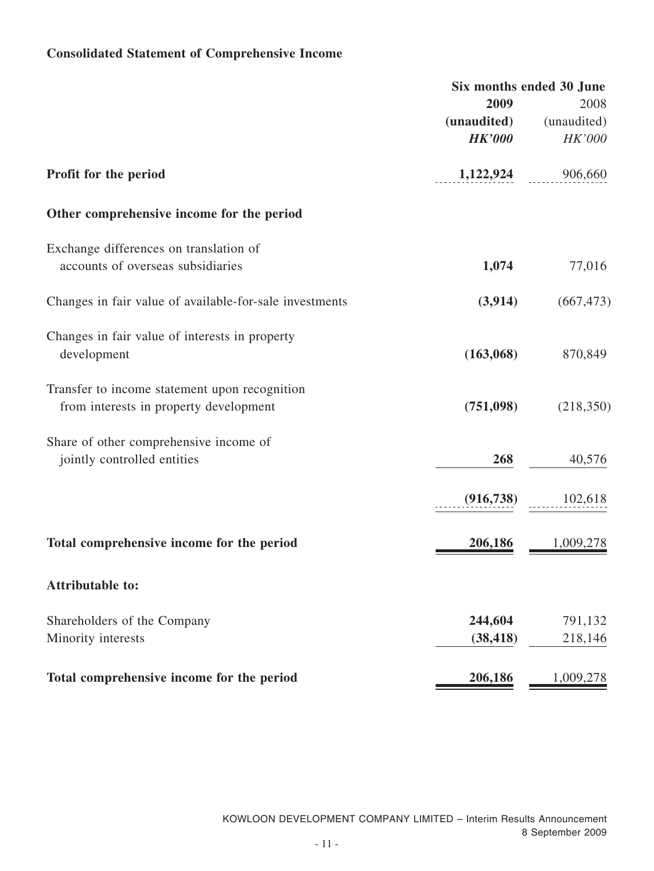## **Consolidated Statement of Comprehensive Income**

|                                                                                         | 2009<br>(unaudited)  | Six months ended 30 June<br>2008<br>(unaudited) |
|-----------------------------------------------------------------------------------------|----------------------|-------------------------------------------------|
|                                                                                         | <b>HK'000</b>        | <b>HK'000</b>                                   |
| Profit for the period                                                                   | 1,122,924            | 906,660                                         |
| Other comprehensive income for the period                                               |                      |                                                 |
| Exchange differences on translation of<br>accounts of overseas subsidiaries             | 1,074                | 77,016                                          |
| Changes in fair value of available-for-sale investments                                 | (3,914)              | (667, 473)                                      |
| Changes in fair value of interests in property<br>development                           | (163,068)            | 870,849                                         |
| Transfer to income statement upon recognition<br>from interests in property development | (751,098)            | (218, 350)                                      |
| Share of other comprehensive income of<br>jointly controlled entities                   | 268                  | 40,576                                          |
|                                                                                         | (916, 738)           | 102,618                                         |
| Total comprehensive income for the period                                               | 206,186              | 1,009,278                                       |
| <b>Attributable to:</b>                                                                 |                      |                                                 |
| Shareholders of the Company<br>Minority interests                                       | 244,604<br>(38, 418) | 791,132<br>218,146                              |
| Total comprehensive income for the period                                               | 206,186              | 1,009,278                                       |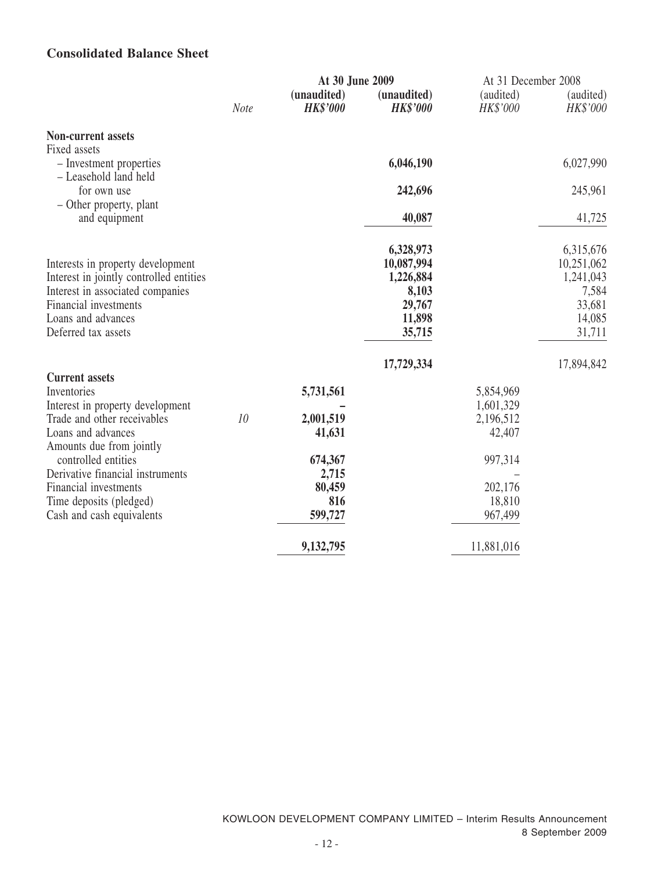### **Consolidated Balance Sheet**

|                                                                  |                 | At 30 June 2009                |                                | At 31 December 2008   |                       |
|------------------------------------------------------------------|-----------------|--------------------------------|--------------------------------|-----------------------|-----------------------|
|                                                                  | Note            | (unaudited)<br><b>HK\$'000</b> | (unaudited)<br><b>HK\$'000</b> | (audited)<br>HK\$'000 | (audited)<br>HK\$'000 |
| Non-current assets                                               |                 |                                |                                |                       |                       |
| Fixed assets<br>- Investment properties<br>- Leasehold land held |                 |                                | 6,046,190                      |                       | 6,027,990             |
| for own use                                                      |                 |                                | 242,696                        |                       | 245,961               |
| - Other property, plant<br>and equipment                         |                 |                                | 40,087                         |                       | 41,725                |
|                                                                  |                 |                                |                                |                       |                       |
|                                                                  |                 |                                | 6,328,973                      |                       | 6,315,676             |
| Interests in property development                                |                 |                                | 10,087,994                     |                       | 10,251,062            |
| Interest in jointly controlled entities                          |                 |                                | 1,226,884                      |                       | 1,241,043             |
| Interest in associated companies                                 |                 |                                | 8,103                          |                       | 7,584                 |
| Financial investments                                            |                 |                                | 29,767                         |                       | 33,681                |
| Loans and advances                                               |                 |                                | 11,898                         |                       | 14,085                |
| Deferred tax assets                                              |                 |                                | 35,715                         |                       | 31,711                |
|                                                                  |                 |                                | 17,729,334                     |                       | 17,894,842            |
| <b>Current assets</b>                                            |                 |                                |                                |                       |                       |
| Inventories                                                      |                 | 5,731,561                      |                                | 5,854,969             |                       |
| Interest in property development                                 |                 |                                |                                | 1,601,329             |                       |
| Trade and other receivables                                      | 10 <sup>°</sup> | 2,001,519                      |                                | 2,196,512             |                       |
| Loans and advances                                               |                 | 41,631                         |                                | 42,407                |                       |
| Amounts due from jointly                                         |                 |                                |                                |                       |                       |
| controlled entities                                              |                 | 674,367                        |                                | 997,314               |                       |
| Derivative financial instruments                                 |                 | 2,715                          |                                |                       |                       |
| Financial investments                                            |                 | 80,459                         |                                | 202,176               |                       |
| Time deposits (pledged)                                          |                 | 816                            |                                | 18,810                |                       |
| Cash and cash equivalents                                        |                 | 599,727                        |                                | 967,499               |                       |
|                                                                  |                 | 9,132,795                      |                                | 11,881,016            |                       |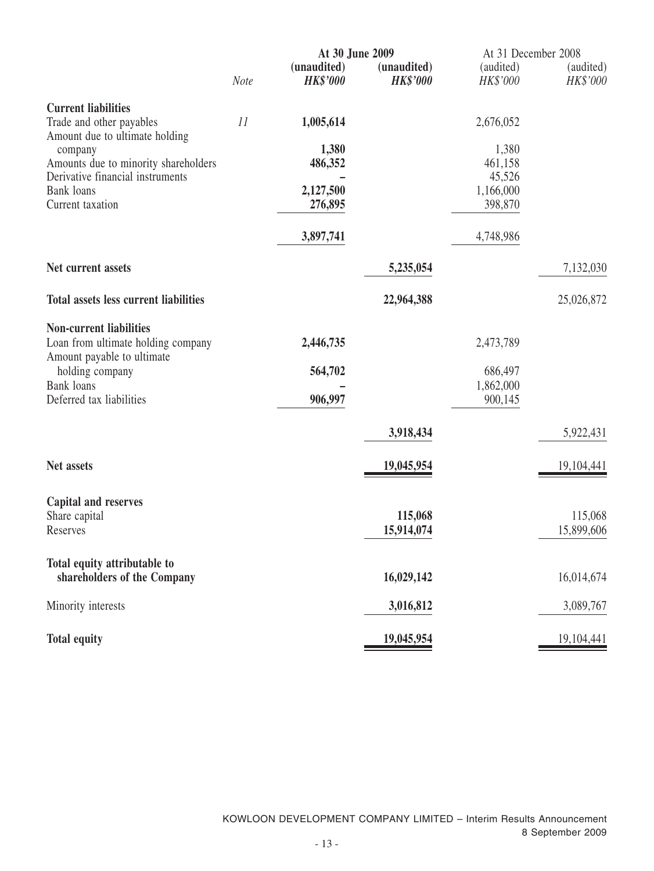|                                                                                                    |             | At 30 June 2009                |                                | At 31 December 2008            |                       |  |
|----------------------------------------------------------------------------------------------------|-------------|--------------------------------|--------------------------------|--------------------------------|-----------------------|--|
|                                                                                                    | <b>Note</b> | (unaudited)<br><b>HK\$'000</b> | (unaudited)<br><b>HK\$'000</b> | (audited)<br>HK\$'000          | (audited)<br>HK\$'000 |  |
| <b>Current liabilities</b><br>Trade and other payables<br>Amount due to ultimate holding           | 11          | 1,005,614                      |                                | 2,676,052                      |                       |  |
| company<br>Amounts due to minority shareholders                                                    |             | 1,380<br>486,352               |                                | 1,380<br>461,158               |                       |  |
| Derivative financial instruments<br><b>Bank</b> loans<br>Current taxation                          |             | 2,127,500<br>276,895           |                                | 45,526<br>1,166,000<br>398,870 |                       |  |
|                                                                                                    |             | 3,897,741                      |                                | 4,748,986                      |                       |  |
| Net current assets                                                                                 |             |                                | 5,235,054                      |                                | 7,132,030             |  |
| <b>Total assets less current liabilities</b>                                                       |             |                                | 22,964,388                     |                                | 25,026,872            |  |
| <b>Non-current liabilities</b><br>Loan from ultimate holding company<br>Amount payable to ultimate |             | 2,446,735                      |                                | 2,473,789                      |                       |  |
| holding company<br><b>Bank</b> loans                                                               |             | 564,702                        |                                | 686,497<br>1,862,000           |                       |  |
| Deferred tax liabilities                                                                           |             | 906,997                        |                                | 900,145                        |                       |  |
|                                                                                                    |             |                                | 3,918,434                      |                                | 5,922,431             |  |
| Net assets                                                                                         |             |                                | 19,045,954                     |                                | 19,104,441            |  |
| <b>Capital and reserves</b><br>Share capital<br>Reserves                                           |             |                                | 115,068<br>15,914,074          |                                | 115,068<br>15,899,606 |  |
| Total equity attributable to<br>shareholders of the Company                                        |             |                                | 16,029,142                     |                                | 16,014,674            |  |
| Minority interests                                                                                 |             |                                | 3,016,812                      |                                | 3,089,767             |  |
| <b>Total equity</b>                                                                                |             |                                | 19,045,954                     |                                | 19, 104, 441          |  |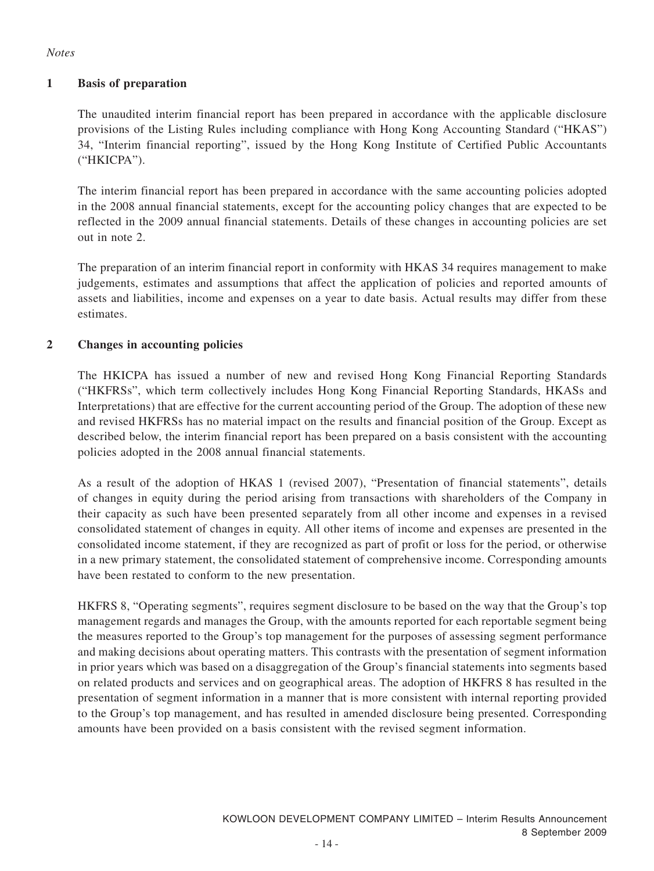#### *Notes*

#### **1 Basis of preparation**

The unaudited interim financial report has been prepared in accordance with the applicable disclosure provisions of the Listing Rules including compliance with Hong Kong Accounting Standard ("HKAS") 34, "Interim financial reporting", issued by the Hong Kong Institute of Certified Public Accountants ("HKICPA").

The interim financial report has been prepared in accordance with the same accounting policies adopted in the 2008 annual financial statements, except for the accounting policy changes that are expected to be reflected in the 2009 annual financial statements. Details of these changes in accounting policies are set out in note 2.

The preparation of an interim financial report in conformity with HKAS 34 requires management to make judgements, estimates and assumptions that affect the application of policies and reported amounts of assets and liabilities, income and expenses on a year to date basis. Actual results may differ from these estimates.

#### **2 Changes in accounting policies**

The HKICPA has issued a number of new and revised Hong Kong Financial Reporting Standards ("HKFRSs", which term collectively includes Hong Kong Financial Reporting Standards, HKASs and Interpretations) that are effective for the current accounting period of the Group. The adoption of these new and revised HKFRSs has no material impact on the results and financial position of the Group. Except as described below, the interim financial report has been prepared on a basis consistent with the accounting policies adopted in the 2008 annual financial statements.

As a result of the adoption of HKAS 1 (revised 2007), "Presentation of financial statements", details of changes in equity during the period arising from transactions with shareholders of the Company in their capacity as such have been presented separately from all other income and expenses in a revised consolidated statement of changes in equity. All other items of income and expenses are presented in the consolidated income statement, if they are recognized as part of profit or loss for the period, or otherwise in a new primary statement, the consolidated statement of comprehensive income. Corresponding amounts have been restated to conform to the new presentation.

HKFRS 8, "Operating segments", requires segment disclosure to be based on the way that the Group's top management regards and manages the Group, with the amounts reported for each reportable segment being the measures reported to the Group's top management for the purposes of assessing segment performance and making decisions about operating matters. This contrasts with the presentation of segment information in prior years which was based on a disaggregation of the Group's financial statements into segments based on related products and services and on geographical areas. The adoption of HKFRS 8 has resulted in the presentation of segment information in a manner that is more consistent with internal reporting provided to the Group's top management, and has resulted in amended disclosure being presented. Corresponding amounts have been provided on a basis consistent with the revised segment information.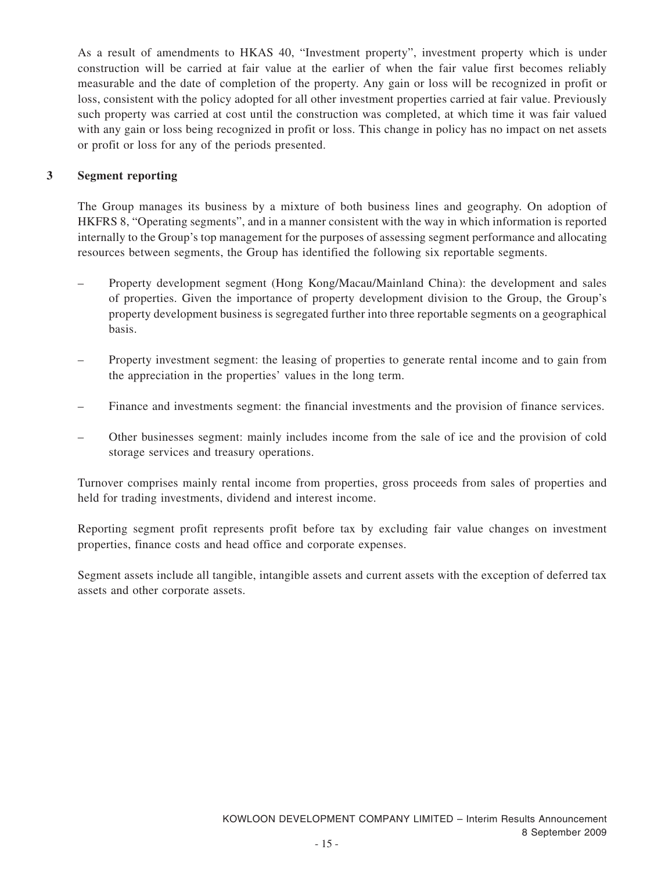As a result of amendments to HKAS 40, "Investment property", investment property which is under construction will be carried at fair value at the earlier of when the fair value first becomes reliably measurable and the date of completion of the property. Any gain or loss will be recognized in profit or loss, consistent with the policy adopted for all other investment properties carried at fair value. Previously such property was carried at cost until the construction was completed, at which time it was fair valued with any gain or loss being recognized in profit or loss. This change in policy has no impact on net assets or profit or loss for any of the periods presented.

#### **3 Segment reporting**

The Group manages its business by a mixture of both business lines and geography. On adoption of HKFRS 8, "Operating segments", and in a manner consistent with the way in which information is reported internally to the Group's top management for the purposes of assessing segment performance and allocating resources between segments, the Group has identified the following six reportable segments.

- Property development segment (Hong Kong/Macau/Mainland China): the development and sales of properties. Given the importance of property development division to the Group, the Group's property development business is segregated further into three reportable segments on a geographical basis.
- Property investment segment: the leasing of properties to generate rental income and to gain from the appreciation in the properties' values in the long term.
- Finance and investments segment: the financial investments and the provision of finance services.
- Other businesses segment: mainly includes income from the sale of ice and the provision of cold storage services and treasury operations.

Turnover comprises mainly rental income from properties, gross proceeds from sales of properties and held for trading investments, dividend and interest income.

Reporting segment profit represents profit before tax by excluding fair value changes on investment properties, finance costs and head office and corporate expenses.

Segment assets include all tangible, intangible assets and current assets with the exception of deferred tax assets and other corporate assets.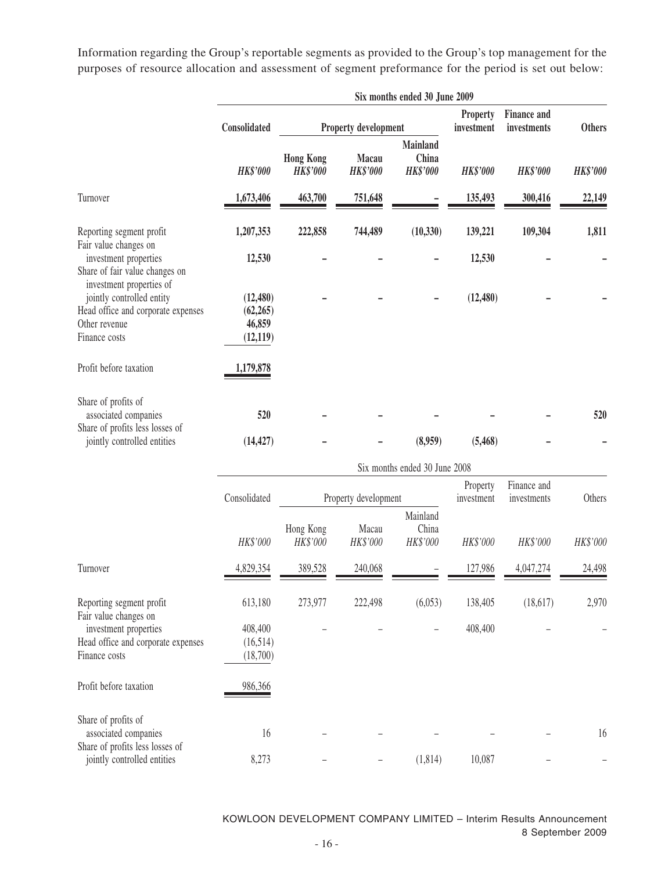Information regarding the Group's reportable segments as provided to the Group's top management for the purposes of resource allocation and assessment of segment preformance for the period is set out below:

|                                                                                                                               | Six months ended 30 June 2009                 |                                     |                          |                                             |                        |                                   |                 |
|-------------------------------------------------------------------------------------------------------------------------------|-----------------------------------------------|-------------------------------------|--------------------------|---------------------------------------------|------------------------|-----------------------------------|-----------------|
|                                                                                                                               | Consolidated                                  | Property development                |                          |                                             | Property<br>investment | <b>Finance and</b><br>investments | <b>Others</b>   |
|                                                                                                                               | <b>HK\$'000</b>                               | <b>Hong Kong</b><br><b>HK\$'000</b> | Macau<br><b>HK\$'000</b> | <b>Mainland</b><br>China<br><b>HK\$'000</b> | <b>HK\$'000</b>        | <b>HK\$'000</b>                   | <b>HK\$'000</b> |
| Turnover                                                                                                                      | 1,673,406                                     | 463,700                             | 751,648                  |                                             | 135,493                | 300,416                           | 22,149          |
| Reporting segment profit                                                                                                      | 1,207,353                                     | 222,858                             | 744,489                  | (10, 330)                                   | 139,221                | 109,304                           | 1,811           |
| Fair value changes on<br>investment properties<br>Share of fair value changes on                                              | 12,530                                        |                                     |                          |                                             | 12,530                 |                                   |                 |
| investment properties of<br>jointly controlled entity<br>Head office and corporate expenses<br>Other revenue<br>Finance costs | (12, 480)<br>(62, 265)<br>46,859<br>(12, 119) |                                     |                          |                                             | (12, 480)              |                                   |                 |
| Profit before taxation                                                                                                        | 1,179,878                                     |                                     |                          |                                             |                        |                                   |                 |
| Share of profits of<br>associated companies<br>Share of profits less losses of                                                | 520                                           |                                     |                          |                                             |                        |                                   | 520             |
| jointly controlled entities                                                                                                   | (14, 427)                                     |                                     |                          | (8,959)                                     | (5,468)                |                                   |                 |
|                                                                                                                               |                                               |                                     |                          | Six months ended 30 June 2008               |                        |                                   |                 |
|                                                                                                                               | Consolidated                                  |                                     | Property development     |                                             | Property<br>investment | Finance and<br>investments        | Others          |
|                                                                                                                               | HK\$'000                                      | Hong Kong<br>HK\$'000               | Macau<br>HK\$'000        | Mainland<br>China<br>HK\$'000               | HK\$'000               | HK\$'000                          | HK\$'000        |
| Turnover                                                                                                                      | 4,829,354                                     | 389,528                             | 240,068                  |                                             | 127,986                | 4,047,274                         | 24,498          |
| Reporting segment profit<br>Fair value changes on                                                                             | 613,180                                       | 273,977                             | 222,498                  | (6,053)                                     | 138,405                | (18,617)                          | 2,970           |
| investment properties<br>Head office and corporate expenses<br>Finance costs                                                  | 408,400<br>(16,514)<br>(18,700)               |                                     |                          |                                             | 408,400                |                                   |                 |
| Profit before taxation                                                                                                        | 986,366                                       |                                     |                          |                                             |                        |                                   |                 |
| Share of profits of<br>associated companies<br>Share of profits less losses of                                                | 16                                            |                                     |                          |                                             |                        |                                   | 16              |
| jointly controlled entities                                                                                                   | 8,273                                         |                                     |                          | (1, 814)                                    | 10,087                 |                                   |                 |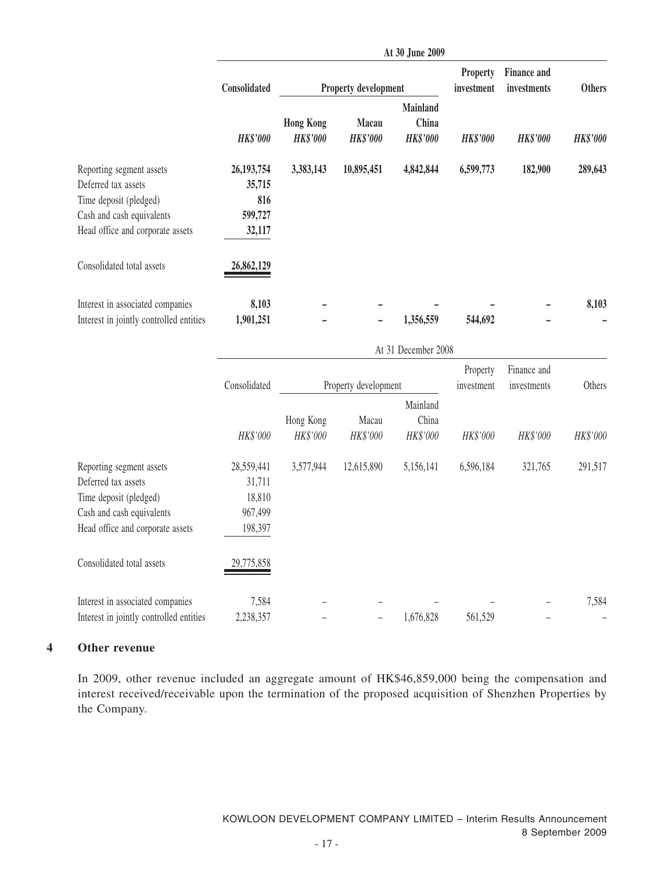|                                                                                                                                            |                                                      |                                     |                          | At 30 June 2009                             |                        |                                   |                 |
|--------------------------------------------------------------------------------------------------------------------------------------------|------------------------------------------------------|-------------------------------------|--------------------------|---------------------------------------------|------------------------|-----------------------------------|-----------------|
|                                                                                                                                            | Consolidated                                         |                                     | Property development     |                                             | Property<br>investment | <b>Finance and</b><br>investments | <b>Others</b>   |
|                                                                                                                                            | <b>HK\$'000</b>                                      | <b>Hong Kong</b><br><b>HK\$'000</b> | Macau<br><b>HK\$'000</b> | <b>Mainland</b><br>China<br><b>HK\$'000</b> | <b>HK\$'000</b>        | <b>HK\$'000</b>                   | <b>HK\$'000</b> |
| Reporting segment assets<br>Deferred tax assets<br>Time deposit (pledged)<br>Cash and cash equivalents<br>Head office and corporate assets | 26,193,754<br>35,715<br>816<br>599,727<br>32,117     | 3,383,143                           | 10,895,451               | 4,842,844                                   | 6,599,773              | 182,900                           | 289,643         |
| Consolidated total assets<br>Interest in associated companies                                                                              | 26,862,129<br>8,103                                  |                                     |                          |                                             |                        |                                   | 8,103           |
| Interest in jointly controlled entities                                                                                                    | 1,901,251                                            |                                     |                          | 1,356,559                                   | 544,692                |                                   |                 |
|                                                                                                                                            |                                                      |                                     |                          | At 31 December 2008                         |                        |                                   |                 |
|                                                                                                                                            | Consolidated                                         |                                     | Property development     |                                             | Property<br>investment | Finance and<br>investments        | Others          |
|                                                                                                                                            | HK\$'000                                             | Hong Kong<br>HK\$'000               | Macau<br>HK\$'000        | Mainland<br>China<br>HK\$'000               | HK\$'000               | HK\$'000                          | HK\$'000        |
| Reporting segment assets<br>Deferred tax assets<br>Time deposit (pledged)<br>Cash and cash equivalents<br>Head office and corporate assets | 28,559,441<br>31,711<br>18,810<br>967,499<br>198,397 | 3,577,944                           | 12,615,890               | 5,156,141                                   | 6,596,184              | 321,765                           | 291,517         |
| Consolidated total assets                                                                                                                  | 29,775,858                                           |                                     |                          |                                             |                        |                                   |                 |

| Interest in associated companies                  | 7.584 | $\overline{\phantom{0}}$ | $\overline{\phantom{0}}$ |                      | $\overline{\phantom{0}}$ | 7.584 |
|---------------------------------------------------|-------|--------------------------|--------------------------|----------------------|--------------------------|-------|
| Interest in jointly controlled entities 2,238,357 |       | $ -$                     |                          | $-1,676,828$ 561,529 |                          |       |

#### **4 Other revenue**

In 2009, other revenue included an aggregate amount of HK\$46,859,000 being the compensation and interest received/receivable upon the termination of the proposed acquisition of Shenzhen Properties by the Company.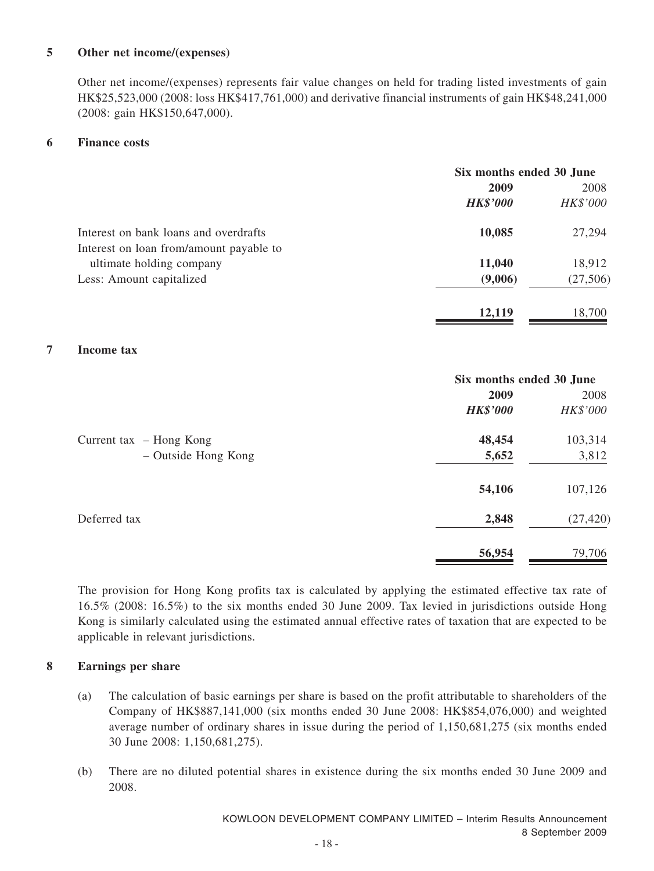#### **5 Other net income/(expenses)**

Other net income/(expenses) represents fair value changes on held for trading listed investments of gain HK\$25,523,000 (2008: loss HK\$417,761,000) and derivative financial instruments of gain HK\$48,241,000 (2008: gain HK\$150,647,000).

#### **6 Finance costs**

|                                         | Six months ended 30 June |          |  |
|-----------------------------------------|--------------------------|----------|--|
|                                         | 2009                     | 2008     |  |
|                                         | <b>HK\$'000</b>          | HK\$'000 |  |
| Interest on bank loans and overdrafts   | 10,085                   | 27,294   |  |
| Interest on loan from/amount payable to |                          |          |  |
| ultimate holding company                | 11,040                   | 18,912   |  |
| Less: Amount capitalized                | (9,006)                  | (27,506) |  |
|                                         | 12,119                   | 18,700   |  |

#### **7 Income tax**

|                           | Six months ended 30 June |           |  |
|---------------------------|--------------------------|-----------|--|
|                           | 2009                     | 2008      |  |
|                           | <b>HK\$'000</b>          | HK\$'000  |  |
| Current tax $-$ Hong Kong | 48,454                   | 103,314   |  |
| - Outside Hong Kong       | 5,652                    | 3,812     |  |
|                           | 54,106                   | 107,126   |  |
| Deferred tax              | 2,848                    | (27, 420) |  |
|                           | 56,954                   | 79,706    |  |

The provision for Hong Kong profits tax is calculated by applying the estimated effective tax rate of 16.5% (2008: 16.5%) to the six months ended 30 June 2009. Tax levied in jurisdictions outside Hong Kong is similarly calculated using the estimated annual effective rates of taxation that are expected to be applicable in relevant jurisdictions.

#### **8 Earnings per share**

- (a) The calculation of basic earnings per share is based on the profit attributable to shareholders of the Company of HK\$887,141,000 (six months ended 30 June 2008: HK\$854,076,000) and weighted average number of ordinary shares in issue during the period of 1,150,681,275 (six months ended 30 June 2008: 1,150,681,275).
- (b) There are no diluted potential shares in existence during the six months ended 30 June 2009 and 2008.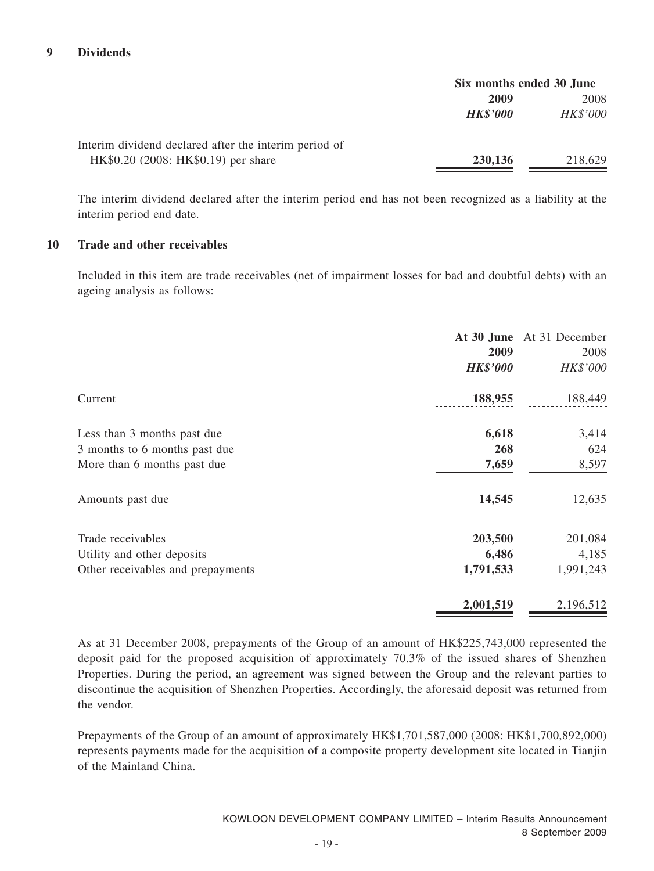#### **9 Dividends**

|                                                       | Six months ended 30 June |          |  |
|-------------------------------------------------------|--------------------------|----------|--|
|                                                       | 2009                     | 2008     |  |
|                                                       | <b>HK\$'000</b>          | HK\$'000 |  |
| Interim dividend declared after the interim period of |                          |          |  |
| HK\$0.20 (2008: HK\$0.19) per share                   | 230,136                  | 218,629  |  |

The interim dividend declared after the interim period end has not been recognized as a liability at the interim period end date.

#### **10 Trade and other receivables**

Included in this item are trade receivables (net of impairment losses for bad and doubtful debts) with an ageing analysis as follows:

|                                   | 2009<br><b>HK\$'000</b> | At 30 June At 31 December<br>2008<br>HK\$'000 |
|-----------------------------------|-------------------------|-----------------------------------------------|
| Current                           | 188,955                 | 188,449                                       |
| Less than 3 months past due       | 6,618                   | 3,414                                         |
| 3 months to 6 months past due     | 268                     | 624                                           |
| More than 6 months past due       | 7,659                   | 8,597                                         |
| Amounts past due                  | 14,545                  | 12,635                                        |
| Trade receivables                 | 203,500                 | 201,084                                       |
| Utility and other deposits        | 6,486                   | 4,185                                         |
| Other receivables and prepayments | 1,791,533               | 1,991,243                                     |
|                                   | 2,001,519               | 2,196,512                                     |

As at 31 December 2008, prepayments of the Group of an amount of HK\$225,743,000 represented the deposit paid for the proposed acquisition of approximately 70.3% of the issued shares of Shenzhen Properties. During the period, an agreement was signed between the Group and the relevant parties to discontinue the acquisition of Shenzhen Properties. Accordingly, the aforesaid deposit was returned from the vendor.

Prepayments of the Group of an amount of approximately HK\$1,701,587,000 (2008: HK\$1,700,892,000) represents payments made for the acquisition of a composite property development site located in Tianjin of the Mainland China.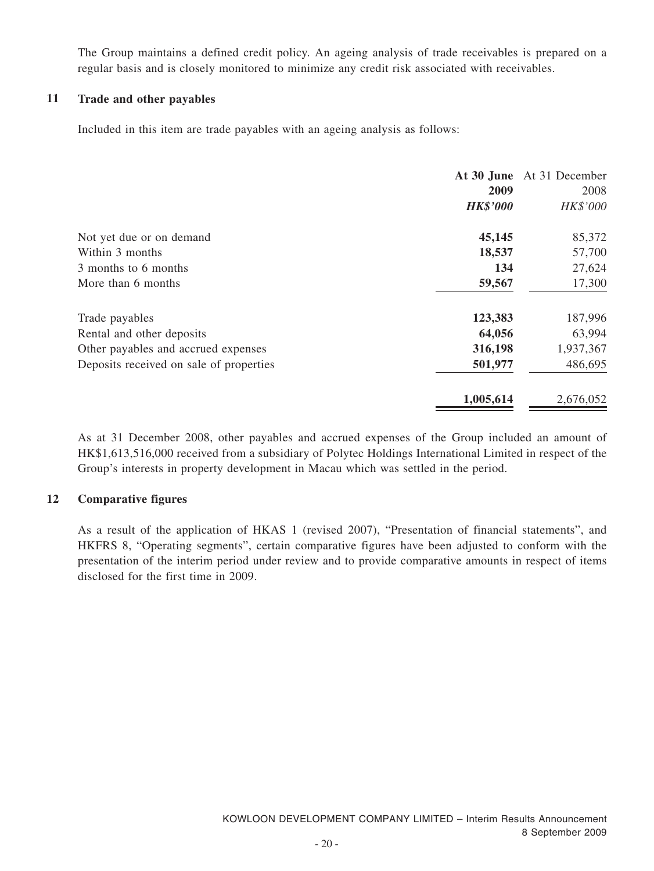The Group maintains a defined credit policy. An ageing analysis of trade receivables is prepared on a regular basis and is closely monitored to minimize any credit risk associated with receivables.

#### **11 Trade and other payables**

Included in this item are trade payables with an ageing analysis as follows:

|                                         | 2009<br><b>HK\$'000</b> | At 30 June At 31 December<br>2008<br>HK\$'000 |
|-----------------------------------------|-------------------------|-----------------------------------------------|
| Not yet due or on demand                | 45,145                  | 85,372                                        |
| Within 3 months                         | 18,537                  | 57,700                                        |
| 3 months to 6 months                    | 134                     | 27,624                                        |
| More than 6 months                      | 59,567                  | 17,300                                        |
| Trade payables                          | 123,383                 | 187,996                                       |
| Rental and other deposits               | 64,056                  | 63,994                                        |
| Other payables and accrued expenses     | 316,198                 | 1,937,367                                     |
| Deposits received on sale of properties | 501,977                 | 486,695                                       |
|                                         | 1,005,614               | 2,676,052                                     |

As at 31 December 2008, other payables and accrued expenses of the Group included an amount of HK\$1,613,516,000 received from a subsidiary of Polytec Holdings International Limited in respect of the Group's interests in property development in Macau which was settled in the period.

#### **12 Comparative figures**

As a result of the application of HKAS 1 (revised 2007), "Presentation of financial statements", and HKFRS 8, "Operating segments", certain comparative figures have been adjusted to conform with the presentation of the interim period under review and to provide comparative amounts in respect of items disclosed for the first time in 2009.